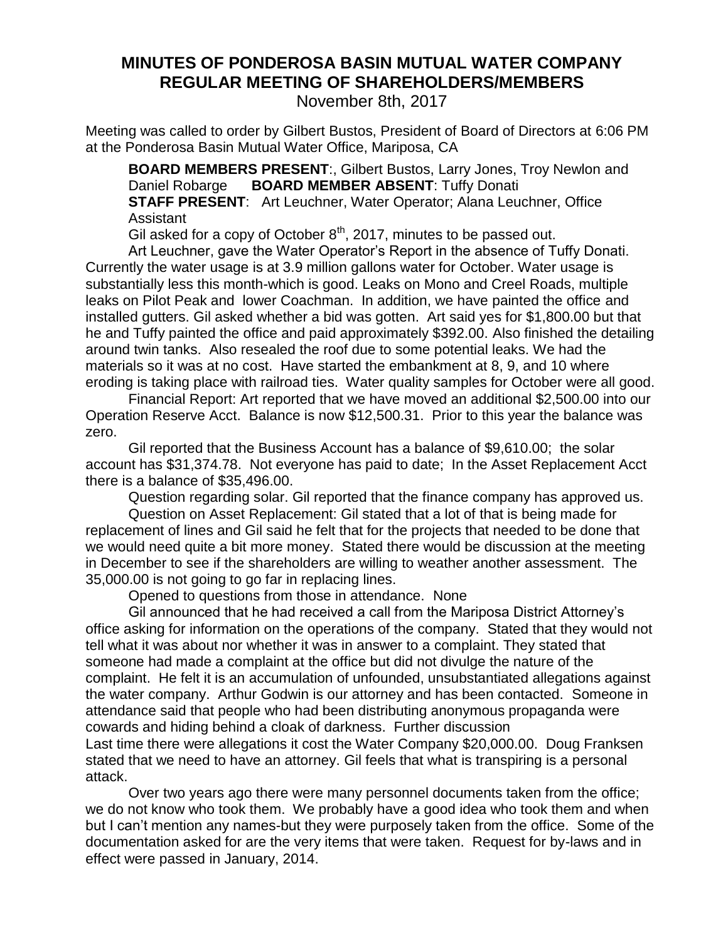## **MINUTES OF PONDEROSA BASIN MUTUAL WATER COMPANY REGULAR MEETING OF SHAREHOLDERS/MEMBERS**

November 8th, 2017

Meeting was called to order by Gilbert Bustos, President of Board of Directors at 6:06 PM at the Ponderosa Basin Mutual Water Office, Mariposa, CA

**BOARD MEMBERS PRESENT**:, Gilbert Bustos, Larry Jones, Troy Newlon and Daniel Robarge **BOARD MEMBER ABSENT**: Tuffy Donati **STAFF PRESENT**: Art Leuchner, Water Operator; Alana Leuchner, Office Assistant

Gil asked for a copy of October 8<sup>th</sup>, 2017, minutes to be passed out.

Art Leuchner, gave the Water Operator's Report in the absence of Tuffy Donati. Currently the water usage is at 3.9 million gallons water for October. Water usage is substantially less this month-which is good. Leaks on Mono and Creel Roads, multiple leaks on Pilot Peak and lower Coachman. In addition, we have painted the office and installed gutters. Gil asked whether a bid was gotten. Art said yes for \$1,800.00 but that he and Tuffy painted the office and paid approximately \$392.00. Also finished the detailing around twin tanks. Also resealed the roof due to some potential leaks. We had the materials so it was at no cost. Have started the embankment at 8, 9, and 10 where eroding is taking place with railroad ties. Water quality samples for October were all good.

Financial Report: Art reported that we have moved an additional \$2,500.00 into our Operation Reserve Acct. Balance is now \$12,500.31. Prior to this year the balance was zero.

Gil reported that the Business Account has a balance of \$9,610.00; the solar account has \$31,374.78. Not everyone has paid to date; In the Asset Replacement Acct there is a balance of \$35,496.00.

Question regarding solar. Gil reported that the finance company has approved us.

Question on Asset Replacement: Gil stated that a lot of that is being made for replacement of lines and Gil said he felt that for the projects that needed to be done that we would need quite a bit more money. Stated there would be discussion at the meeting in December to see if the shareholders are willing to weather another assessment. The 35,000.00 is not going to go far in replacing lines.

Opened to questions from those in attendance. None

Gil announced that he had received a call from the Mariposa District Attorney's office asking for information on the operations of the company. Stated that they would not tell what it was about nor whether it was in answer to a complaint. They stated that someone had made a complaint at the office but did not divulge the nature of the complaint. He felt it is an accumulation of unfounded, unsubstantiated allegations against the water company. Arthur Godwin is our attorney and has been contacted. Someone in attendance said that people who had been distributing anonymous propaganda were cowards and hiding behind a cloak of darkness. Further discussion

Last time there were allegations it cost the Water Company \$20,000.00. Doug Franksen stated that we need to have an attorney. Gil feels that what is transpiring is a personal attack.

Over two years ago there were many personnel documents taken from the office; we do not know who took them. We probably have a good idea who took them and when but I can't mention any names-but they were purposely taken from the office. Some of the documentation asked for are the very items that were taken. Request for by-laws and in effect were passed in January, 2014.